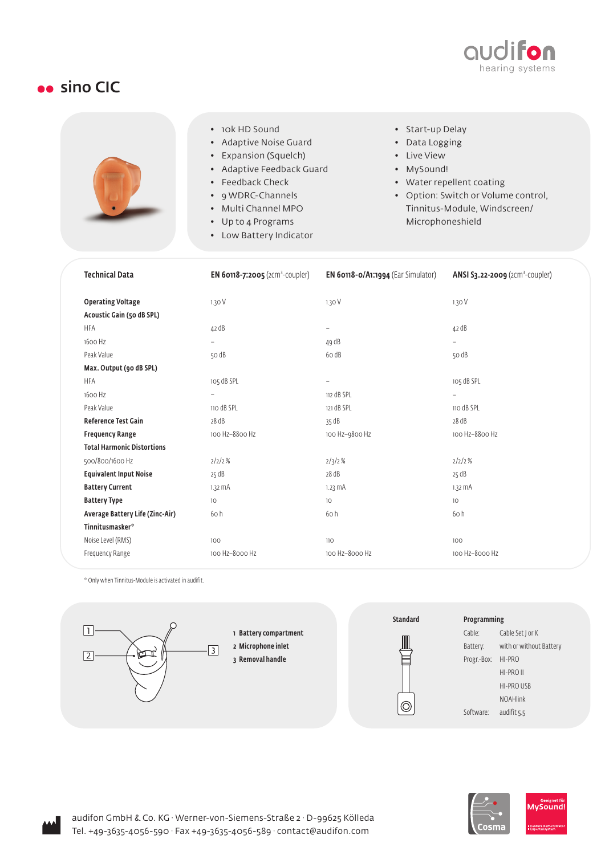

## sino CIC

|  | • 10k HD Sound            | • Start-up Delay                    |
|--|---------------------------|-------------------------------------|
|  | • Adaptive Noise Guard    | • Data Logging                      |
|  | • Expansion (Squelch)     | • Live View                         |
|  | • Adaptive Feedback Guard | • MySound!                          |
|  | • Feedback Check          | • Water repellent coating           |
|  | • 9 WDRC-Channels         | • Option: Switch or Volume control, |
|  | • Multi Channel MPO       | Tinnitus-Module, Windscreen/        |
|  | • Up to 4 Programs        | Microphoneshield                    |
|  | • Low Battery Indicator   |                                     |

| <b>Technical Data</b>             | <b>EN 60118-7:2005</b> (2Cm <sup>3</sup> -COUpler) | EN 60118-0/A1:1994 (Ear Simulator) | ANSI S3.22-2009 (2Cm <sup>3</sup> -COUpler) |
|-----------------------------------|----------------------------------------------------|------------------------------------|---------------------------------------------|
| <b>Operating Voltage</b>          | 1.30V                                              | 1.30V                              | 1.30 V                                      |
| Acoustic Gain (50 dB SPL)         |                                                    |                                    |                                             |
| <b>HFA</b>                        | 42 dB                                              | $\overline{\phantom{a}}$           | 42 dB                                       |
| 1600 Hz                           | $\overline{\phantom{0}}$                           | 49 dB                              |                                             |
| Peak Value                        | 50 dB                                              | 6o dB                              | 50 dB                                       |
| Max. Output (90 dB SPL)           |                                                    |                                    |                                             |
| <b>HFA</b>                        | 105 dB SPL                                         |                                    | 105 dB SPL                                  |
| 1600 Hz                           | $\overline{\phantom{a}}$                           | 112 dB SPL                         | $\overline{\phantom{0}}$                    |
| Peak Value                        | 110 dB SPL                                         | 121 dB SPL                         | 110 dB SPL                                  |
| Reference Test Gain               | 28 dB                                              | 35 dB                              | 28 dB                                       |
| <b>Frequency Range</b>            | 100 Hz-8800 Hz                                     | 100 Hz-9800 Hz                     | 100 Hz-8800 Hz                              |
| <b>Total Harmonic Distortions</b> |                                                    |                                    |                                             |
| 500/800/1600 Hz                   | 2/2/2%                                             | 2/3/2%                             | 2/2/2%                                      |
| <b>Equivalent Input Noise</b>     | 25 dB                                              | 28 dB                              | 25 dB                                       |
| <b>Battery Current</b>            | $1.32 \text{ mA}$                                  | $1.23 \text{ mA}$                  | $1.32 \text{ mA}$                           |
| <b>Battery Type</b>               | 10                                                 | 10                                 | 10 <sup>°</sup>                             |
| Average Battery Life (Zinc-Air)   | 60 h                                               | 60 h                               | 60h                                         |
| Tinnitusmasker <sup>*</sup>       |                                                    |                                    |                                             |
| Noise Level (RMS)                 | 100                                                | 110                                | 100                                         |
| Frequency Range                   | 100 Hz-8000 Hz                                     | 100 Hz-8000 Hz                     | 100 Hz-8000 Hz                              |

\* Only when Tinnitus-Module is activated in audifit.





## Programming

Cable: Cable Set J or K Battery: with or without Battery Progr.-Box: HI-PRO HI-PRO II HI-PRO USB NOAHlink Software: audifit 5.5